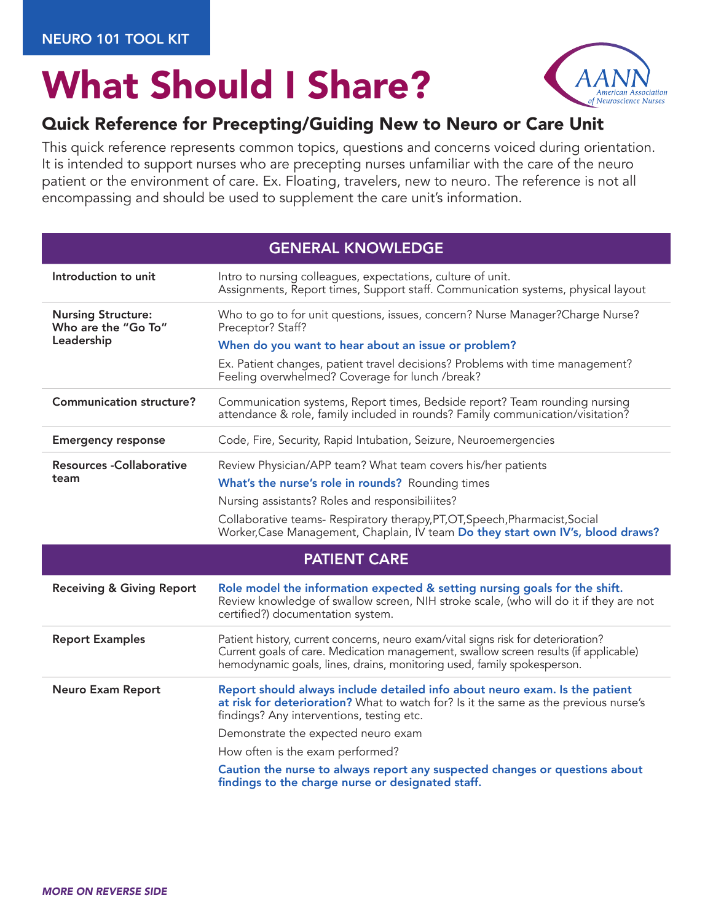## What Should I Share?



## Quick Reference for Precepting/Guiding New to Neuro or Care Unit

This quick reference represents common topics, questions and concerns voiced during orientation. It is intended to support nurses who are precepting nurses unfamiliar with the care of the neuro patient or the environment of care. Ex. Floating, travelers, new to neuro. The reference is not all encompassing and should be used to supplement the care unit's information.

| <b>GENERAL KNOWLEDGE</b>                                       |                                                                                                                                                                                                                                                                                                                                         |
|----------------------------------------------------------------|-----------------------------------------------------------------------------------------------------------------------------------------------------------------------------------------------------------------------------------------------------------------------------------------------------------------------------------------|
| Introduction to unit                                           | Intro to nursing colleagues, expectations, culture of unit.<br>Assignments, Report times, Support staff. Communication systems, physical layout                                                                                                                                                                                         |
| <b>Nursing Structure:</b><br>Who are the "Go To"<br>Leadership | Who to go to for unit questions, issues, concern? Nurse Manager? Charge Nurse?<br>Preceptor? Staff?<br>When do you want to hear about an issue or problem?                                                                                                                                                                              |
|                                                                | Ex. Patient changes, patient travel decisions? Problems with time management?<br>Feeling overwhelmed? Coverage for lunch /break?                                                                                                                                                                                                        |
| <b>Communication structure?</b>                                | Communication systems, Report times, Bedside report? Team rounding nursing<br>attendance & role, family included in rounds? Family communication/visitation?                                                                                                                                                                            |
| <b>Emergency response</b>                                      | Code, Fire, Security, Rapid Intubation, Seizure, Neuroemergencies                                                                                                                                                                                                                                                                       |
| <b>Resources -Collaborative</b><br>team                        | Review Physician/APP team? What team covers his/her patients<br>What's the nurse's role in rounds? Rounding times<br>Nursing assistants? Roles and responsibiliites?<br>Collaborative teams- Respiratory therapy, PT, OT, Speech, Pharmacist, Social<br>Worker, Case Management, Chaplain, IV team Do they start own IV's, blood draws? |
| <b>PATIENT CARE</b>                                            |                                                                                                                                                                                                                                                                                                                                         |
|                                                                |                                                                                                                                                                                                                                                                                                                                         |
| <b>Receiving &amp; Giving Report</b>                           | Role model the information expected & setting nursing goals for the shift.<br>Review knowledge of swallow screen, NIH stroke scale, (who will do it if they are not<br>certified?) documentation system.                                                                                                                                |
| <b>Report Examples</b>                                         | Patient history, current concerns, neuro exam/vital signs risk for deterioration?<br>Current goals of care. Medication management, swallow screen results (if applicable)<br>hemodynamic goals, lines, drains, monitoring used, family spokesperson.                                                                                    |
| <b>Neuro Exam Report</b>                                       | Report should always include detailed info about neuro exam. Is the patient<br>at risk for deterioration? What to watch for? Is it the same as the previous nurse's<br>findings? Any interventions, testing etc.                                                                                                                        |
|                                                                | Demonstrate the expected neuro exam                                                                                                                                                                                                                                                                                                     |
|                                                                | How often is the exam performed?<br>Caution the nurse to always report any suspected changes or questions about                                                                                                                                                                                                                         |